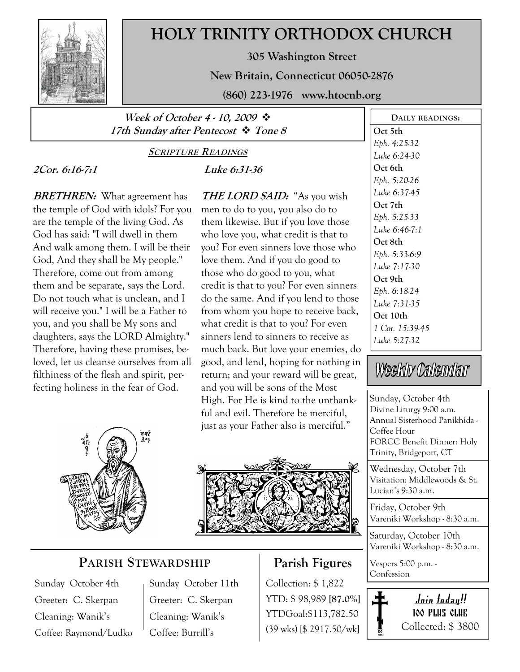

# HOLY TRINITY ORTHODOX CHURCH

305 Washington Street

New Britain, Connecticut 06050-2876

(860) 223-1976 www.htocnb.org

### Week of October 4 - 10, 2009  $\ddot{\cdot}$ 17th Sunday after Pentecost  $\cdot \cdot$  Tone 8

# 2Cor. 6:16-7:1

## SCRIPTURE READINGS

### Luke 6:31-36

**BRETHREN:** What agreement has the temple of God with idols? For you are the temple of the living God. As God has said: "I will dwell in them And walk among them. I will be their God, And they shall be My people." Therefore, come out from among them and be separate, says the Lord. Do not touch what is unclean, and I will receive you." I will be a Father to you, and you shall be My sons and daughters, says the LORD Almighty." Therefore, having these promises, beloved, let us cleanse ourselves from all filthiness of the flesh and spirit, perfecting holiness in the fear of God.

THE LORD SAID: "As you wish men to do to you, you also do to them likewise. But if you love those who love you, what credit is that to you? For even sinners love those who love them. And if you do good to those who do good to you, what credit is that to you? For even sinners do the same. And if you lend to those from whom you hope to receive back, what credit is that to you? For even sinners lend to sinners to receive as much back. But love your enemies, do good, and lend, hoping for nothing in return; and your reward will be great, and you will be sons of the Most High. For He is kind to the unthankful and evil. Therefore be merciful, just as your Father also is merciful."



## PARISH STEWARDSHIP

Sunday October 4th Greeter: C. Skerpan Cleaning: Wanik's Coffee: Raymond/Ludko Sunday October 11th Greeter: C. Skerpan Cleaning: Wanik's Coffee: Burrill's

# Parish Figures

Collection: \$ 1,822 YTD: \$ 98,989 [87.0%] YTDGoal:\$113,782.50 (39 wks) [\$ 2917.50/wk]

DAILY READINGS: Oct 5th Eph. 4:25-32 Luke 6:24-30 Oct 6th Eph. 5:20-26 Luke 6:37-45 Oct 7th Eph. 5:25-33 Luke 6:46-7:1 Oct 8th Eph. 5:33-6:9 Luke 7:17-30 Oct 9th Eph. 6:18-24 Luke 7:31-35 Oct 10th 1 Cor. 15:39-45 Luke 5:27-32

# Weekly Calendar

Sunday, October 4th Divine Liturgy 9:00 a.m. Annual Sisterhood Panikhida - Coffee Hour FORCC Benefit Dinner: Holy Trinity, Bridgeport, CT

Wednesday, October 7th Visitation: Middlewoods & St. Lucian's 9:30 a.m.

Friday, October 9th Vareniki Workshop - 8:30 a.m.

Saturday, October 10th Vareniki Workshop - 8:30 a.m.

Vespers 5:00 p.m. - Confession